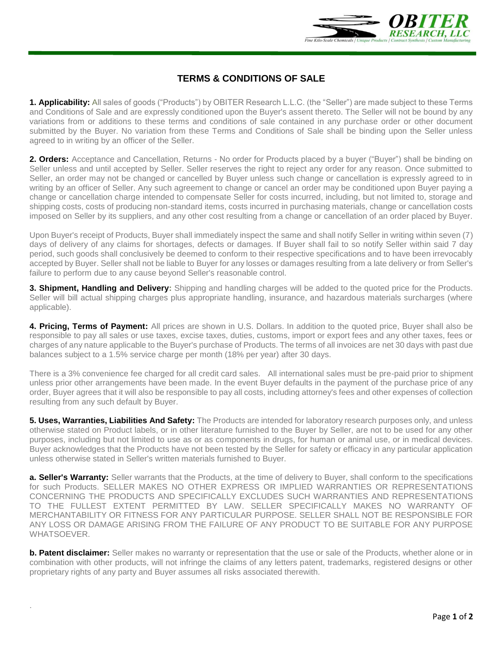

## **TERMS & CONDITIONS OF SALE**

**1. Applicability:** All sales of goods ("Products") by OBITER Research L.L.C. (the "Seller") are made subject to these Terms and Conditions of Sale and are expressly conditioned upon the Buyer's assent thereto. The Seller will not be bound by any variations from or additions to these terms and conditions of sale contained in any purchase order or other document submitted by the Buyer. No variation from these Terms and Conditions of Sale shall be binding upon the Seller unless agreed to in writing by an officer of the Seller.

**2. Orders:** Acceptance and Cancellation, Returns - No order for Products placed by a buyer ("Buyer") shall be binding on Seller unless and until accepted by Seller. Seller reserves the right to reject any order for any reason. Once submitted to Seller, an order may not be changed or cancelled by Buyer unless such change or cancellation is expressly agreed to in writing by an officer of Seller. Any such agreement to change or cancel an order may be conditioned upon Buyer paying a change or cancellation charge intended to compensate Seller for costs incurred, including, but not limited to, storage and shipping costs, costs of producing non-standard items, costs incurred in purchasing materials, change or cancellation costs imposed on Seller by its suppliers, and any other cost resulting from a change or cancellation of an order placed by Buyer.

Upon Buyer's receipt of Products, Buyer shall immediately inspect the same and shall notify Seller in writing within seven (7) days of delivery of any claims for shortages, defects or damages. If Buyer shall fail to so notify Seller within said 7 day period, such goods shall conclusively be deemed to conform to their respective specifications and to have been irrevocably accepted by Buyer. Seller shall not be liable to Buyer for any losses or damages resulting from a late delivery or from Seller's failure to perform due to any cause beyond Seller's reasonable control.

**3. Shipment, Handling and Delivery:** Shipping and handling charges will be added to the quoted price for the Products. Seller will bill actual shipping charges plus appropriate handling, insurance, and hazardous materials surcharges (where applicable).

**4. Pricing, Terms of Payment:** All prices are shown in U.S. Dollars. In addition to the quoted price, Buyer shall also be responsible to pay all sales or use taxes, excise taxes, duties, customs, import or export fees and any other taxes, fees or charges of any nature applicable to the Buyer's purchase of Products. The terms of all invoices are net 30 days with past due balances subject to a 1.5% service charge per month (18% per year) after 30 days.

There is a 3% convenience fee charged for all credit card sales. All international sales must be pre-paid prior to shipment unless prior other arrangements have been made. In the event Buyer defaults in the payment of the purchase price of any order, Buyer agrees that it will also be responsible to pay all costs, including attorney's fees and other expenses of collection resulting from any such default by Buyer.

**5. Uses, Warranties, Liabilities And Safety:** The Products are intended for laboratory research purposes only, and unless otherwise stated on Product labels, or in other literature furnished to the Buyer by Seller, are not to be used for any other purposes, including but not limited to use as or as components in drugs, for human or animal use, or in medical devices. Buyer acknowledges that the Products have not been tested by the Seller for safety or efficacy in any particular application unless otherwise stated in Seller's written materials furnished to Buyer.

**a. Seller's Warranty:** Seller warrants that the Products, at the time of delivery to Buyer, shall conform to the specifications for such Products. SELLER MAKES NO OTHER EXPRESS OR IMPLIED WARRANTIES OR REPRESENTATIONS CONCERNING THE PRODUCTS AND SPECIFICALLY EXCLUDES SUCH WARRANTIES AND REPRESENTATIONS TO THE FULLEST EXTENT PERMITTED BY LAW. SELLER SPECIFICALLY MAKES NO WARRANTY OF MERCHANTABILITY OR FITNESS FOR ANY PARTICULAR PURPOSE. SELLER SHALL NOT BE RESPONSIBLE FOR ANY LOSS OR DAMAGE ARISING FROM THE FAILURE OF ANY PRODUCT TO BE SUITABLE FOR ANY PURPOSE WHATSOEVER.

**b. Patent disclaimer:** Seller makes no warranty or representation that the use or sale of the Products, whether alone or in combination with other products, will not infringe the claims of any letters patent, trademarks, registered designs or other proprietary rights of any party and Buyer assumes all risks associated therewith.

.